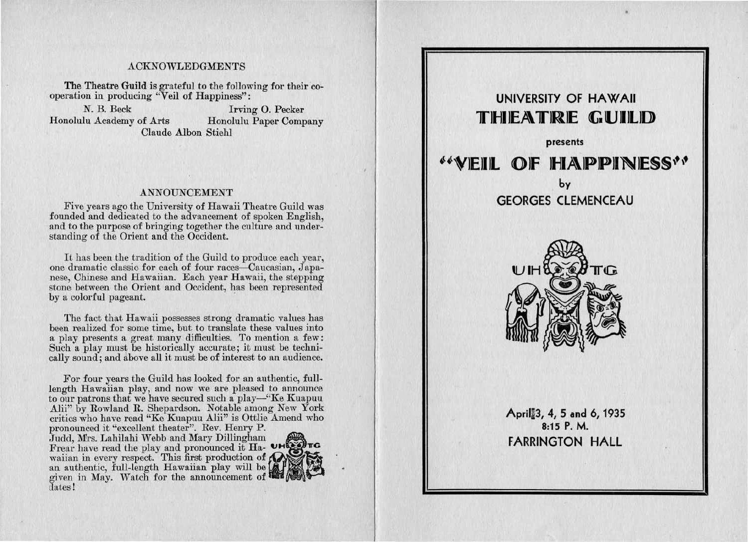#### ACKNOWLEDGMENTS

The Theatre Guild is grateful to the following for their cooperation in producing "Veil of Happiness":

Honolulu Academy of Arts

N. B. Beck Irving O. Pecker<br>
lu Academy of Arts Honolulu Paper Company Claude Albon Stiehl

#### ANNOUNCEMENT

Five years ago the University of Hawaii Theatre Guild was founded and dedicated to the advancement of spoken English, and to the purpose of bringing together the culture and understanding of the Orient and the Occident.

It has been the tradition of the Guild to produce each year, one dramatic classic for each of four races-Caucasian, Japanese, Chinese and Hawaiian. Each year Hawaii, the stepping stone between the Orient and Occident, has been represented by a colorful pageant.

The fact that Hawaii possesses strong dramatic values has been realized for some time, but to translate these values into a play presents a great many difficulties. To mention a few: Such a play must be historically accurate; it must be technically sound; and above all it must be of interest to an audience.

For four years the Guild has looked for an authentic, fulllength Hawaiian play, and now we are pleased to announce to our patrons that we have secured such a play-"Ke Kuapuu Alii" by Rowland R. Shepardson. Notable among New York critics who have read "Ke Kuapuu Alii" is Ottlie Amend who pronounced it "excellent theater". Rev. Henry P.

Judd, Mrs. Lahilahi Webb and Mary Dillingham ~ Frear have read the play and pronounced it Ha- **UHLESTIG**<br>waiian in every respect. This first production of  $\bigotimes$ an authentic, full-length Hawaiian play will be given in May. Watch for the announcement of dates!



# **UNIVERSITY OF HAWAII 11"11-JI lEA\ TJRJE G UJIJLJD presents**  •l~VJEJIJL **OJF 11-JIA\JPJPJINJE§§\•\• by GEORGES CLEMENCEAU TIG** April~3, **4, 5 and 6, 1935 8:15 P.M. FARRINGTON HALL**